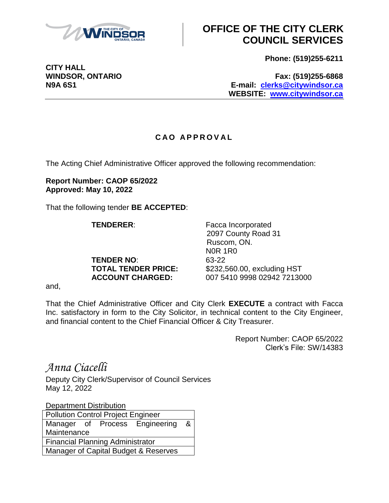

## **OFFICE OF THE CITY CLERK COUNCIL SERVICES**

**Phone: (519)255-6211**

**WINDSOR, ONTARIO Fax: (519)255-6868 N9A 6S1 E-mail: [clerks@citywindsor.ca](mailto:clerks@citywindsor.ca) WEBSITE: [www.citywindsor.ca](http://www.citywindsor.ca/)**

## **C A O A P P R O V A L**

The Acting Chief Administrative Officer approved the following recommendation:

**Report Number: CAOP 65/2022 Approved: May 10, 2022**

That the following tender **BE ACCEPTED**:

**TENDER NO**: 63-22

**TENDERER:** Facca Incorporated 2097 County Road 31 Ruscom, ON. N0R 1R0 **TOTAL TENDER PRICE:** \$232,560.00, excluding HST **ACCOUNT CHARGED:** 007 5410 9998 02942 7213000

and,

That the Chief Administrative Officer and City Clerk **EXECUTE** a contract with Facca Inc. satisfactory in form to the City Solicitor, in technical content to the City Engineer, and financial content to the Chief Financial Officer & City Treasurer.

> Report Number: CAOP 65/2022 Clerk's File: SW/14383

*Anna Ciacelli*

Deputy City Clerk/Supervisor of Council Services May 12, 2022

Department Distribution

| <b>Pollution Control Project Engineer</b> |  |  |                                |                |
|-------------------------------------------|--|--|--------------------------------|----------------|
|                                           |  |  | Manager of Process Engineering | 8 <sub>1</sub> |
| Maintenance                               |  |  |                                |                |
| <b>Financial Planning Administrator</b>   |  |  |                                |                |
| Manager of Capital Budget & Reserves      |  |  |                                |                |

**CITY HALL**